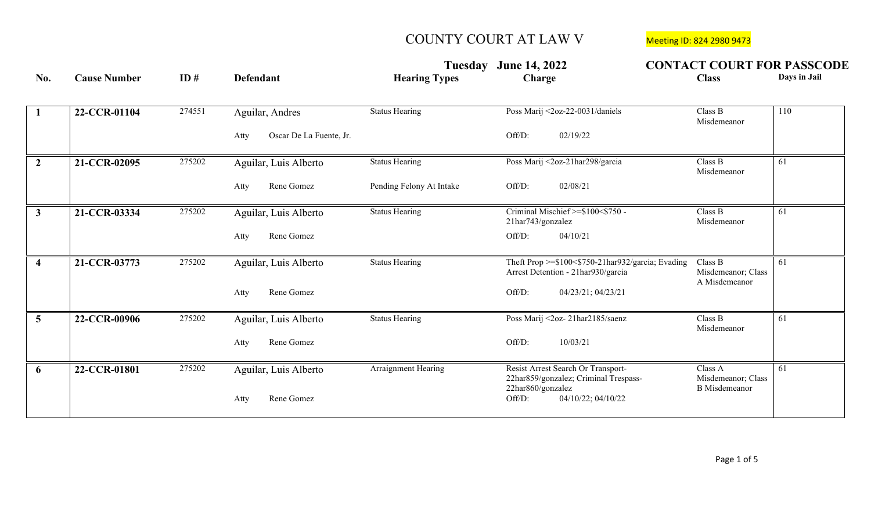|                         |                     |        |                                 |                          | Tuesday June 14, 2022                                                                   | <b>CONTACT COURT FOR PASSCODE</b>              |              |
|-------------------------|---------------------|--------|---------------------------------|--------------------------|-----------------------------------------------------------------------------------------|------------------------------------------------|--------------|
| No.                     | <b>Cause Number</b> | ID#    | <b>Defendant</b>                | <b>Hearing Types</b>     | <b>Charge</b>                                                                           | <b>Class</b>                                   | Days in Jail |
| -1                      | 22-CCR-01104        | 274551 | Aguilar, Andres                 | <b>Status Hearing</b>    | Poss Marij <2oz-22-0031/daniels                                                         | Class B<br>Misdemeanor                         | 110          |
|                         |                     |        | Oscar De La Fuente, Jr.<br>Atty |                          | Off/D:<br>02/19/22                                                                      |                                                |              |
| $\overline{2}$          | 21-CCR-02095        | 275202 | Aguilar, Luis Alberto           | <b>Status Hearing</b>    | Poss Marij <2oz-21har298/garcia                                                         | Class B<br>Misdemeanor                         | 61           |
|                         |                     |        | Rene Gomez<br>Atty              | Pending Felony At Intake | 02/08/21<br>Off/D:                                                                      |                                                |              |
| $\overline{3}$          | 21-CCR-03334        | 275202 | Aguilar, Luis Alberto           | <b>Status Hearing</b>    | Criminal Mischief >=\$100<\$750 -<br>21har743/gonzalez                                  | Class B<br>Misdemeanor                         | 61           |
|                         |                     |        | Rene Gomez<br>Atty              |                          | Off/D:<br>04/10/21                                                                      |                                                |              |
| $\overline{\mathbf{4}}$ | 21-CCR-03773        | 275202 | Aguilar, Luis Alberto           | <b>Status Hearing</b>    | Theft Prop >=\$100<\$750-21har932/garcia; Evading<br>Arrest Detention - 21har930/garcia | Class B<br>Misdemeanor; Class<br>A Misdemeanor | 61           |
|                         |                     |        | Rene Gomez<br>Atty              |                          | Off/D:<br>04/23/21; 04/23/21                                                            |                                                |              |
| $\overline{5}$          | 22-CCR-00906        | 275202 | Aguilar, Luis Alberto           | <b>Status Hearing</b>    | Poss Marij <2oz-21har2185/saenz                                                         | Class B<br>Misdemeanor                         | 61           |
|                         |                     |        | Rene Gomez<br>Atty              |                          | Off/D:<br>10/03/21                                                                      |                                                |              |
| -6                      | 22-CCR-01801        | 275202 | Aguilar, Luis Alberto           | Arraignment Hearing      | Resist Arrest Search Or Transport-<br>22har859/gonzalez; Criminal Trespass-             | Class A<br>Misdemeanor; Class                  | 61           |
|                         |                     |        | Rene Gomez<br>Atty              |                          | 22har860/gonzalez<br>Off/D:<br>04/10/22; 04/10/22                                       | <b>B</b> Misdemeanor                           |              |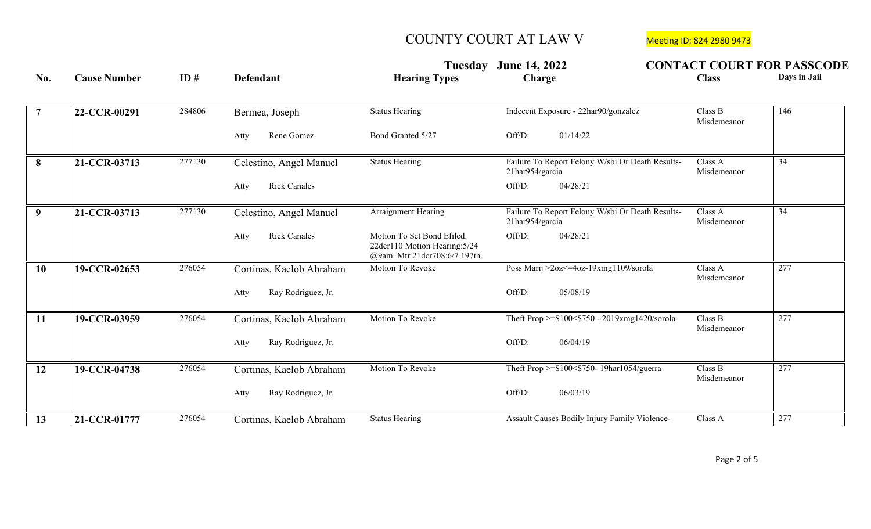|                 |                     |        |                             | Tuesday                                                                                      | <b>June 14, 2022</b>                                                | <b>CONTACT COURT FOR PASSCODE</b> |              |
|-----------------|---------------------|--------|-----------------------------|----------------------------------------------------------------------------------------------|---------------------------------------------------------------------|-----------------------------------|--------------|
| No.             | <b>Cause Number</b> | ID#    | <b>Defendant</b>            | <b>Hearing Types</b>                                                                         | Charge                                                              | <b>Class</b>                      | Days in Jail |
| $\overline{7}$  | 22-CCR-00291        | 284806 | Bermea, Joseph              | <b>Status Hearing</b>                                                                        | Indecent Exposure - 22har90/gonzalez                                | Class B<br>Misdemeanor            | 146          |
|                 |                     |        | Rene Gomez<br>Atty          | Bond Granted 5/27                                                                            | 01/14/22<br>Off/D:                                                  |                                   |              |
| 8               | 21-CCR-03713        | 277130 | Celestino, Angel Manuel     | <b>Status Hearing</b>                                                                        | Failure To Report Felony W/sbi Or Death Results-<br>21har954/garcia | Class A<br>Misdemeanor            | 34           |
|                 |                     |        | <b>Rick Canales</b><br>Atty |                                                                                              | Off/D:<br>04/28/21                                                  |                                   |              |
| 9 <sup>1</sup>  | 21-CCR-03713        | 277130 | Celestino, Angel Manuel     | Arraignment Hearing                                                                          | Failure To Report Felony W/sbi Or Death Results-<br>21har954/garcia | Class A<br>Misdemeanor            | 34           |
|                 |                     |        | <b>Rick Canales</b><br>Atty | Motion To Set Bond Efiled.<br>22dcr110 Motion Hearing: 5/24<br>@9am. Mtr 21dcr708:6/7 197th. | Off/D:<br>04/28/21                                                  |                                   |              |
| $\overline{10}$ | 19-CCR-02653        | 276054 | Cortinas, Kaelob Abraham    | Motion To Revoke                                                                             | Poss Marij >2oz<=4oz-19xmg1109/sorola                               | Class A<br>Misdemeanor            | 277          |
|                 |                     |        | Ray Rodriguez, Jr.<br>Atty  |                                                                                              | Off/D:<br>05/08/19                                                  |                                   |              |
| 11              | 19-CCR-03959        | 276054 | Cortinas, Kaelob Abraham    | Motion To Revoke                                                                             | Theft Prop >= $$100<$750 - 2019$ xmg1420/sorola                     | Class B<br>Misdemeanor            | 277          |
|                 |                     |        | Ray Rodriguez, Jr.<br>Atty  |                                                                                              | Off/D:<br>06/04/19                                                  |                                   |              |
| $\overline{12}$ | 19-CCR-04738        | 276054 | Cortinas, Kaelob Abraham    | Motion To Revoke                                                                             | Theft Prop >=\$100<\$750-19har1054/guerra                           | Class B<br>Misdemeanor            | 277          |
|                 |                     |        | Ray Rodriguez, Jr.<br>Atty  |                                                                                              | Off/D:<br>06/03/19                                                  |                                   |              |
| 13              | 21-CCR-01777        | 276054 | Cortinas, Kaelob Abraham    | <b>Status Hearing</b>                                                                        | Assault Causes Bodily Injury Family Violence-                       | Class A                           | 277          |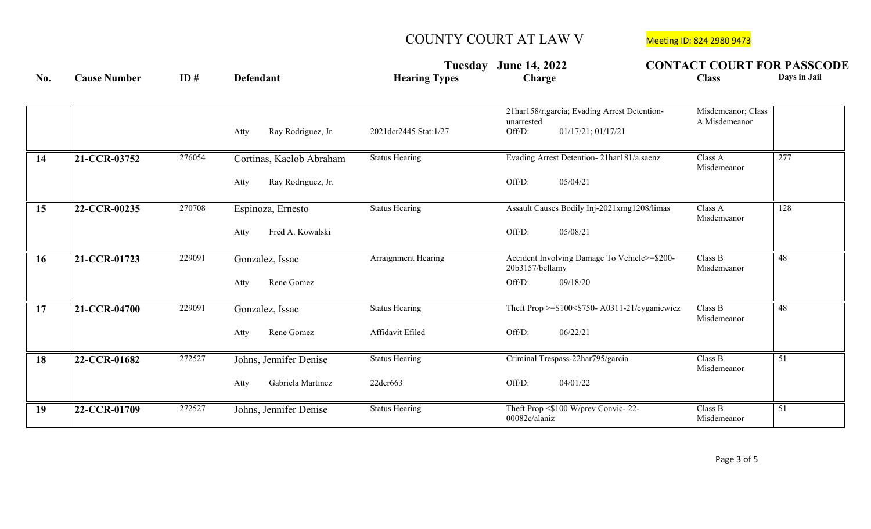|     |                     |        |                                                        | Tuesday                                   | <b>June 14, 2022</b>                                                                       | <b>CONTACT COURT FOR PASSCODE</b>   |
|-----|---------------------|--------|--------------------------------------------------------|-------------------------------------------|--------------------------------------------------------------------------------------------|-------------------------------------|
| No. | <b>Cause Number</b> | ID#    | <b>Defendant</b>                                       | <b>Hearing Types</b>                      | Charge                                                                                     | Days in Jail<br><b>Class</b>        |
|     |                     |        | Ray Rodriguez, Jr.<br>Atty                             | 2021dcr2445 Stat:1/27                     | 21har158/r.garcia; Evading Arrest Detention-<br>unarrested<br>01/17/21; 01/17/21<br>Off/D: | Misdemeanor; Class<br>A Misdemeanor |
| 14  | 21-CCR-03752        | 276054 | Cortinas, Kaelob Abraham<br>Ray Rodriguez, Jr.<br>Atty | <b>Status Hearing</b>                     | Evading Arrest Detention-21har181/a.saenz<br>05/04/21<br>Off/D:                            | Class A<br>277<br>Misdemeanor       |
| 15  | 22-CCR-00235        | 270708 | Espinoza, Ernesto<br>Fred A. Kowalski<br>Atty          | <b>Status Hearing</b>                     | Assault Causes Bodily Inj-2021xmg1208/limas<br>Off/D:<br>05/08/21                          | Class A<br>128<br>Misdemeanor       |
| 16  | 21-CCR-01723        | 229091 | Gonzalez, Issac<br>Rene Gomez<br>Atty                  | Arraignment Hearing                       | Accident Involving Damage To Vehicle>=\$200-<br>20b3157/bellamy<br>Off/D:<br>09/18/20      | Class B<br>48<br>Misdemeanor        |
| 17  | 21-CCR-04700        | 229091 | Gonzalez, Issac<br>Rene Gomez<br>Atty                  | <b>Status Hearing</b><br>Affidavit Efiled | Theft Prop $\geq$ \$100 < \$750 - A0311-21/cyganiewicz<br>06/22/21<br>Off/D:               | Class B<br>48<br>Misdemeanor        |
| 18  | 22-CCR-01682        | 272527 | Johns, Jennifer Denise<br>Gabriela Martinez<br>Atty    | <b>Status Hearing</b><br>22dcr663         | Criminal Trespass-22har795/garcia<br>Off/D:<br>04/01/22                                    | 51<br>Class B<br>Misdemeanor        |
| 19  | 22-CCR-01709        | 272527 | Johns, Jennifer Denise                                 | <b>Status Hearing</b>                     | Theft Prop <\$100 W/prev Convic-22-<br>00082c/alaniz                                       | Class B<br>51<br>Misdemeanor        |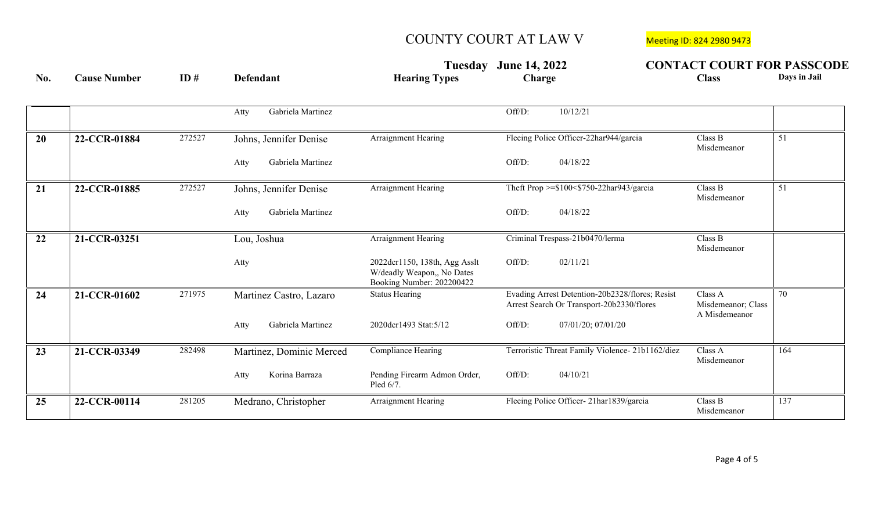|                 |                     |        |                           | Tuesday                                                                                  | <b>June 14, 2022</b>                                                                         | <b>CONTACT COURT FOR PASSCODE</b>              |              |
|-----------------|---------------------|--------|---------------------------|------------------------------------------------------------------------------------------|----------------------------------------------------------------------------------------------|------------------------------------------------|--------------|
| No.             | <b>Cause Number</b> | ID#    | <b>Defendant</b>          | <b>Hearing Types</b>                                                                     | Charge                                                                                       | <b>Class</b>                                   | Days in Jail |
|                 |                     |        | Gabriela Martinez<br>Atty |                                                                                          | 10/12/21<br>Off/D:                                                                           |                                                |              |
| 20              | 22-CCR-01884        | 272527 | Johns, Jennifer Denise    | <b>Arraignment Hearing</b>                                                               | Fleeing Police Officer-22har944/garcia                                                       | Class B<br>Misdemeanor                         | 51           |
|                 |                     |        | Gabriela Martinez<br>Atty |                                                                                          | Off/D:<br>04/18/22                                                                           |                                                |              |
| $\overline{21}$ | 22-CCR-01885        | 272527 | Johns, Jennifer Denise    | <b>Arraignment Hearing</b>                                                               | Theft Prop >=\$100<\$750-22har943/garcia                                                     | Class B<br>Misdemeanor                         | 51           |
|                 |                     |        | Gabriela Martinez<br>Atty |                                                                                          | Off/D:<br>04/18/22                                                                           |                                                |              |
| 22              | 21-CCR-03251        |        | Lou, Joshua               | Arraignment Hearing                                                                      | Criminal Trespass-21b0470/lerma                                                              | Class B<br>Misdemeanor                         |              |
|                 |                     |        | Atty                      | 2022dcr1150, 138th, Agg Asslt<br>W/deadly Weapon,, No Dates<br>Booking Number: 202200422 | Off/D:<br>02/11/21                                                                           |                                                |              |
| 24              | 21-CCR-01602        | 271975 | Martinez Castro, Lazaro   | <b>Status Hearing</b>                                                                    | Evading Arrest Detention-20b2328/flores; Resist<br>Arrest Search Or Transport-20b2330/flores | Class A<br>Misdemeanor; Class<br>A Misdemeanor | 70           |
|                 |                     |        | Gabriela Martinez<br>Atty | 2020dcr1493 Stat:5/12                                                                    | Off/D:<br>07/01/20; 07/01/20                                                                 |                                                |              |
| $\overline{23}$ | 21-CCR-03349        | 282498 | Martinez, Dominic Merced  | Compliance Hearing                                                                       | Terroristic Threat Family Violence- 21b1162/diez                                             | Class A<br>Misdemeanor                         | 164          |
|                 |                     |        | Korina Barraza<br>Atty    | Pending Firearm Admon Order,<br>Pled 6/7.                                                | Off/D:<br>04/10/21                                                                           |                                                |              |
| 25              | 22-CCR-00114        | 281205 | Medrano, Christopher      | <b>Arraignment Hearing</b>                                                               | Fleeing Police Officer-21har1839/garcia                                                      | Class B<br>Misdemeanor                         | 137          |